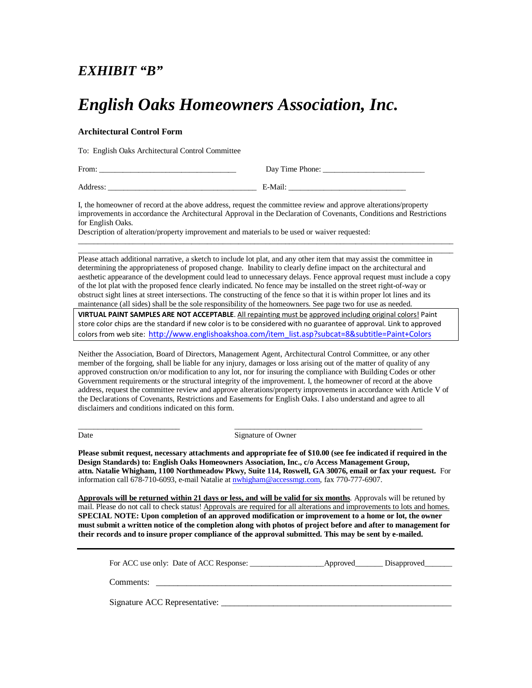## *EXHIBIT "B"*

## *English Oaks Homeowners Association, Inc.*

## **Architectural Control Form**

To: English Oaks Architectural Control Committee

| From:    | Day Time Phone: |
|----------|-----------------|
| Address: | E-Mail:         |

I, the homeowner of record at the above address, request the committee review and approve alterations/property improvements in accordance the Architectural Approval in the Declaration of Covenants, Conditions and Restrictions for English Oaks.

Description of alteration/property improvement and materials to be used or waiver requested:

Please attach additional narrative, a sketch to include lot plat, and any other item that may assist the committee in determining the appropriateness of proposed change. Inability to clearly define impact on the architectural and aesthetic appearance of the development could lead to unnecessary delays. Fence approval request must include a copy of the lot plat with the proposed fence clearly indicated. No fence may be installed on the street right-of-way or obstruct sight lines at street intersections. The constructing of the fence so that it is within proper lot lines and its maintenance (all sides) shall be the sole responsibility of the homeowners. See page two for use as needed.

 $\_$  ,  $\_$  ,  $\_$  ,  $\_$  ,  $\_$  ,  $\_$  ,  $\_$  ,  $\_$  ,  $\_$  ,  $\_$  ,  $\_$  ,  $\_$  ,  $\_$  ,  $\_$  ,  $\_$  ,  $\_$  ,  $\_$  ,  $\_$  ,  $\_$  ,  $\_$  ,  $\_$  ,  $\_$  ,  $\_$  ,  $\_$  ,  $\_$  ,  $\_$  ,  $\_$  ,  $\_$  ,  $\_$  ,  $\_$  ,  $\_$  ,  $\_$  ,  $\_$  ,  $\_$  ,  $\_$  ,  $\_$  ,  $\_$  ,  $\_$  ,  $\_$  ,  $\_$  ,  $\_$  ,  $\_$  ,  $\_$  ,  $\_$  ,  $\_$  ,  $\_$  ,  $\_$  ,  $\_$  ,  $\_$  ,  $\_$  ,  $\_$  ,  $\_$  ,  $\_$  ,  $\_$  ,  $\_$  ,  $\_$  ,  $\_$  ,  $\_$  ,  $\_$  ,  $\_$  ,  $\_$  ,  $\_$  ,  $\_$  ,  $\_$  ,  $\_$  ,  $\_$  ,  $\_$  ,  $\_$  ,  $\_$  ,  $\_$  ,  $\_$  ,  $\_$  ,  $\_$  ,  $\_$  ,

**VIRTUAL PAINT SAMPLES ARE NOT ACCEPTABLE**. All repainting must be approved including original colors! Paint store color chips are the standard if new color is to be considered with no guarantee of approval. Link to approved colors from web site: [http://www.englishoakshoa.com/item\\_list.asp?subcat=8&subtitle=Paint+Colors](http://www.englishoakshoa.com/item_list.asp?subcat=8&subtitle=Paint+Colors)

Neither the Association, Board of Directors, Management Agent, Architectural Control Committee, or any other member of the forgoing, shall be liable for any injury, damages or loss arising out of the matter of quality of any approved construction on/or modification to any lot, nor for insuring the compliance with Building Codes or other Government requirements or the structural integrity of the improvement. I, the homeowner of record at the above address, request the committee review and approve alterations/property improvements in accordance with Article V of the Declarations of Covenants, Restrictions and Easements for English Oaks. I also understand and agree to all disclaimers and conditions indicated on this form.

\_\_\_\_\_\_\_\_\_\_\_\_\_\_\_\_\_\_\_\_\_\_\_\_\_\_ \_\_\_\_\_\_\_\_\_\_\_\_\_\_\_\_\_\_\_\_\_\_\_\_\_\_\_\_\_\_\_\_\_\_\_\_\_\_\_\_\_\_\_\_\_\_\_\_ Date Signature of Owner

**Please submit request, necessary attachments and appropriate fee of \$10.00 (see fee indicated if required in the Design Standards) to: English Oaks Homeowners Association, Inc., c/o Access Management Group, attn. Natalie Whigham, 1100 Northmeadow Pkwy, Suite 114, Roswell, GA 30076, email or fax your request.** For information call 678-710-6093, e-mail Natalie a[t nwhigham@accessmgt.com,](mailto:nwhigham@accessmgt.com) fax 770-777-6907.

**Approvals will be returned within 21 days or less, and will be valid for six months**. Approvals will be retuned by mail. Please do not call to check status! Approvals are required for all alterations and improvements to lots and homes. **SPECIAL NOTE: Upon completion of an approved modification or improvement to a home or lot, the owner must submit a written notice of the completion along with photos of project before and after to management for their records and to insure proper compliance of the approval submitted. This may be sent by e-mailed.** 

| For ACC use only: Date of ACC Response: | _Approved_________Disapproved________ |
|-----------------------------------------|---------------------------------------|
|                                         |                                       |

Comments:

Signature ACC Representative: \_\_\_\_\_\_\_\_\_\_\_\_\_\_\_\_\_\_\_\_\_\_\_\_\_\_\_\_\_\_\_\_\_\_\_\_\_\_\_\_\_\_\_\_\_\_\_\_\_\_\_\_\_